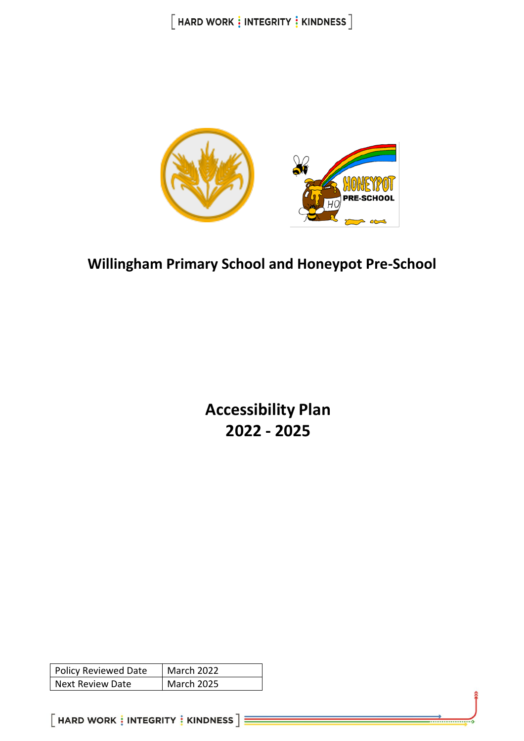

## **Willingham Primary School and Honeypot Pre-School**

**Accessibility Plan 2022 - 2025**

| Policy Reviewed Date | <b>March 2022</b> |
|----------------------|-------------------|
| Next Review Date     | <b>March 2025</b> |

 $[$  HARD WORK  $\frac{1}{3}$  INTEGRITY  $\frac{1}{3}$  KINDNESS  $]\equiv$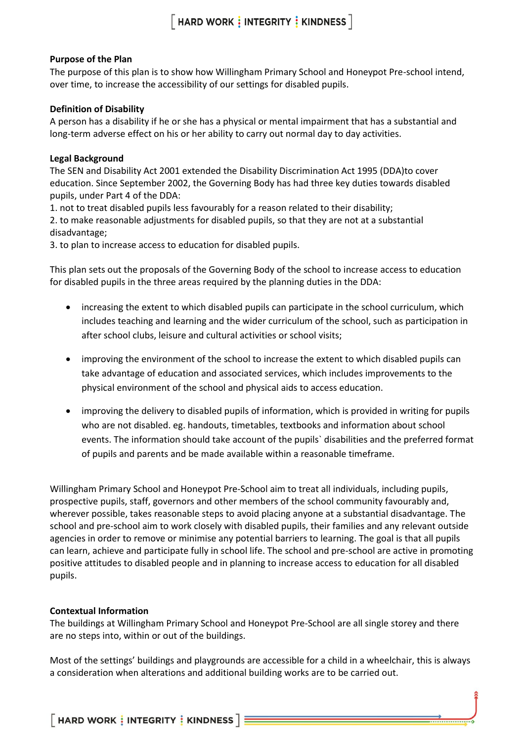#### **Purpose of the Plan**

The purpose of this plan is to show how Willingham Primary School and Honeypot Pre-school intend, over time, to increase the accessibility of our settings for disabled pupils.

#### **Definition of Disability**

A person has a disability if he or she has a physical or mental impairment that has a substantial and long-term adverse effect on his or her ability to carry out normal day to day activities.

#### **Legal Background**

The SEN and Disability Act 2001 extended the Disability Discrimination Act 1995 (DDA)to cover education. Since September 2002, the Governing Body has had three key duties towards disabled pupils, under Part 4 of the DDA:

1. not to treat disabled pupils less favourably for a reason related to their disability;

2. to make reasonable adjustments for disabled pupils, so that they are not at a substantial disadvantage;

3. to plan to increase access to education for disabled pupils.

This plan sets out the proposals of the Governing Body of the school to increase access to education for disabled pupils in the three areas required by the planning duties in the DDA:

- increasing the extent to which disabled pupils can participate in the school curriculum, which includes teaching and learning and the wider curriculum of the school, such as participation in after school clubs, leisure and cultural activities or school visits;
- improving the environment of the school to increase the extent to which disabled pupils can take advantage of education and associated services, which includes improvements to the physical environment of the school and physical aids to access education.
- improving the delivery to disabled pupils of information, which is provided in writing for pupils who are not disabled. eg. handouts, timetables, textbooks and information about school events. The information should take account of the pupils` disabilities and the preferred format of pupils and parents and be made available within a reasonable timeframe.

Willingham Primary School and Honeypot Pre-School aim to treat all individuals, including pupils, prospective pupils, staff, governors and other members of the school community favourably and, wherever possible, takes reasonable steps to avoid placing anyone at a substantial disadvantage. The school and pre-school aim to work closely with disabled pupils, their families and any relevant outside agencies in order to remove or minimise any potential barriers to learning. The goal is that all pupils can learn, achieve and participate fully in school life. The school and pre-school are active in promoting positive attitudes to disabled people and in planning to increase access to education for all disabled pupils.

### **Contextual Information**

The buildings at Willingham Primary School and Honeypot Pre-School are all single storey and there are no steps into, within or out of the buildings.

Most of the settings' buildings and playgrounds are accessible for a child in a wheelchair, this is always a consideration when alterations and additional building works are to be carried out.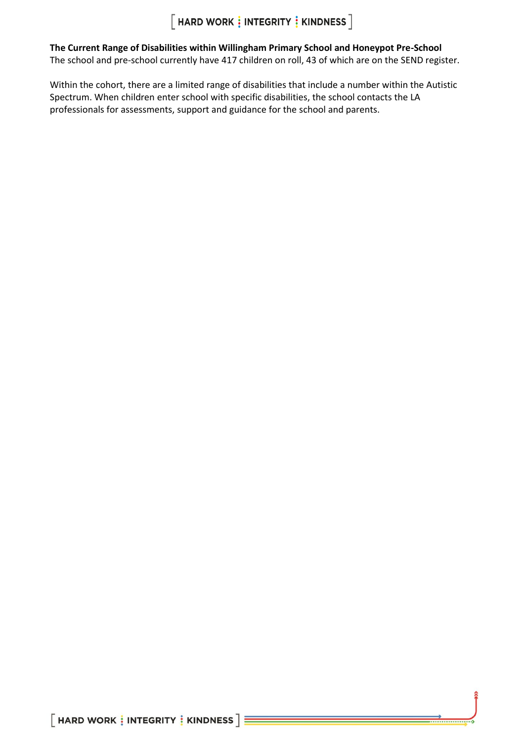**The Current Range of Disabilities within Willingham Primary School and Honeypot Pre-School** The school and pre-school currently have 417 children on roll, 43 of which are on the SEND register.

Within the cohort, there are a limited range of disabilities that include a number within the Autistic Spectrum. When children enter school with specific disabilities, the school contacts the LA professionals for assessments, support and guidance for the school and parents.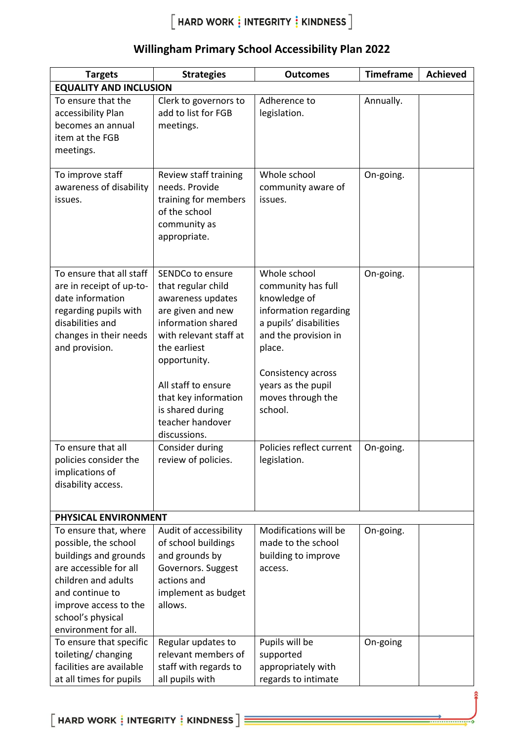| <b>Targets</b>                                                                                                                                                                                                   | <b>Strategies</b>                                                                                                                                                                                                                                                       | <b>Outcomes</b>                                                                                                                                                                                                     | <b>Timeframe</b> | <b>Achieved</b> |  |
|------------------------------------------------------------------------------------------------------------------------------------------------------------------------------------------------------------------|-------------------------------------------------------------------------------------------------------------------------------------------------------------------------------------------------------------------------------------------------------------------------|---------------------------------------------------------------------------------------------------------------------------------------------------------------------------------------------------------------------|------------------|-----------------|--|
| <b>EQUALITY AND INCLUSION</b>                                                                                                                                                                                    |                                                                                                                                                                                                                                                                         |                                                                                                                                                                                                                     |                  |                 |  |
| To ensure that the<br>accessibility Plan<br>becomes an annual<br>item at the FGB<br>meetings.                                                                                                                    | Clerk to governors to<br>add to list for FGB<br>meetings.                                                                                                                                                                                                               | Adherence to<br>legislation.                                                                                                                                                                                        | Annually.        |                 |  |
| To improve staff<br>awareness of disability<br>issues.                                                                                                                                                           | Review staff training<br>needs. Provide<br>training for members<br>of the school<br>community as<br>appropriate.                                                                                                                                                        | Whole school<br>community aware of<br>issues.                                                                                                                                                                       | On-going.        |                 |  |
| To ensure that all staff<br>are in receipt of up-to-<br>date information<br>regarding pupils with<br>disabilities and<br>changes in their needs<br>and provision.                                                | SENDCo to ensure<br>that regular child<br>awareness updates<br>are given and new<br>information shared<br>with relevant staff at<br>the earliest<br>opportunity.<br>All staff to ensure<br>that key information<br>is shared during<br>teacher handover<br>discussions. | Whole school<br>community has full<br>knowledge of<br>information regarding<br>a pupils' disabilities<br>and the provision in<br>place.<br>Consistency across<br>years as the pupil<br>moves through the<br>school. | On-going.        |                 |  |
| To ensure that all<br>policies consider the<br>implications of<br>disability access.                                                                                                                             | Consider during<br>review of policies.                                                                                                                                                                                                                                  | Policies reflect current<br>legislation.                                                                                                                                                                            | On-going.        |                 |  |
| PHYSICAL ENVIRONMENT                                                                                                                                                                                             |                                                                                                                                                                                                                                                                         |                                                                                                                                                                                                                     |                  |                 |  |
| To ensure that, where<br>possible, the school<br>buildings and grounds<br>are accessible for all<br>children and adults<br>and continue to<br>improve access to the<br>school's physical<br>environment for all. | Audit of accessibility<br>of school buildings<br>and grounds by<br>Governors. Suggest<br>actions and<br>implement as budget<br>allows.                                                                                                                                  | Modifications will be<br>made to the school<br>building to improve<br>access.                                                                                                                                       | On-going.        |                 |  |
| To ensure that specific<br>toileting/changing<br>facilities are available<br>at all times for pupils                                                                                                             | Regular updates to<br>relevant members of<br>staff with regards to<br>all pupils with                                                                                                                                                                                   | Pupils will be<br>supported<br>appropriately with<br>regards to intimate                                                                                                                                            | On-going         |                 |  |

### **Willingham Primary School Accessibility Plan 2022**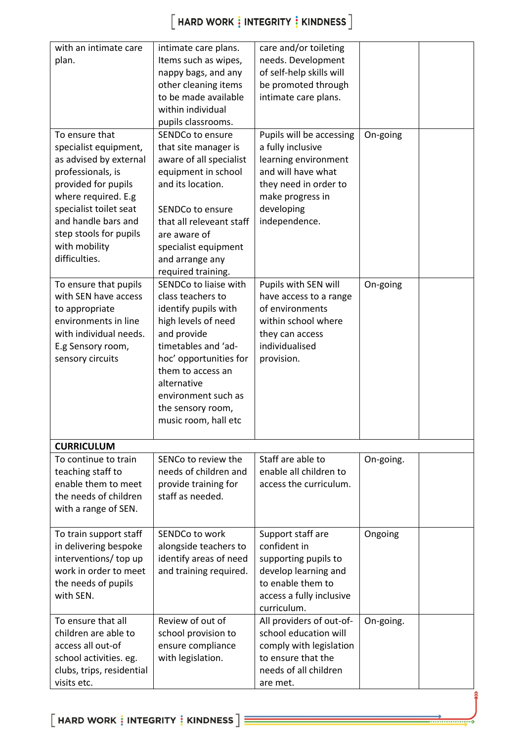| with an intimate care     | intimate care plans.     | care and/or toileting    |           |  |
|---------------------------|--------------------------|--------------------------|-----------|--|
| plan.                     | Items such as wipes,     | needs. Development       |           |  |
|                           | nappy bags, and any      | of self-help skills will |           |  |
|                           | other cleaning items     | be promoted through      |           |  |
|                           | to be made available     | intimate care plans.     |           |  |
|                           | within individual        |                          |           |  |
|                           | pupils classrooms.       |                          |           |  |
| To ensure that            | SENDCo to ensure         | Pupils will be accessing | On-going  |  |
| specialist equipment,     | that site manager is     | a fully inclusive        |           |  |
| as advised by external    | aware of all specialist  | learning environment     |           |  |
| professionals, is         | equipment in school      | and will have what       |           |  |
| provided for pupils       | and its location.        | they need in order to    |           |  |
| where required. E.g       |                          | make progress in         |           |  |
| specialist toilet seat    | SENDCo to ensure         | developing               |           |  |
| and handle bars and       | that all releveant staff | independence.            |           |  |
| step stools for pupils    | are aware of             |                          |           |  |
| with mobility             | specialist equipment     |                          |           |  |
| difficulties.             | and arrange any          |                          |           |  |
|                           | required training.       |                          |           |  |
| To ensure that pupils     | SENDCo to liaise with    | Pupils with SEN will     | On-going  |  |
| with SEN have access      | class teachers to        | have access to a range   |           |  |
| to appropriate            | identify pupils with     | of environments          |           |  |
| environments in line      | high levels of need      | within school where      |           |  |
| with individual needs.    | and provide              | they can access          |           |  |
|                           | timetables and 'ad-      | individualised           |           |  |
| E.g Sensory room,         |                          |                          |           |  |
| sensory circuits          | hoc' opportunities for   | provision.               |           |  |
|                           | them to access an        |                          |           |  |
|                           | alternative              |                          |           |  |
|                           | environment such as      |                          |           |  |
|                           | the sensory room,        |                          |           |  |
|                           | music room, hall etc     |                          |           |  |
|                           |                          |                          |           |  |
| <b>CURRICULUM</b>         |                          |                          |           |  |
| To continue to train      | SENCo to review the      | Staff are able to        | On-going. |  |
| teaching staff to         | needs of children and    | enable all children to   |           |  |
| enable them to meet       | provide training for     | access the curriculum.   |           |  |
| the needs of children     | staff as needed.         |                          |           |  |
| with a range of SEN.      |                          |                          |           |  |
|                           |                          |                          |           |  |
| To train support staff    | SENDCo to work           | Support staff are        | Ongoing   |  |
| in delivering bespoke     | alongside teachers to    | confident in             |           |  |
| interventions/ top up     | identify areas of need   | supporting pupils to     |           |  |
| work in order to meet     | and training required.   | develop learning and     |           |  |
| the needs of pupils       |                          | to enable them to        |           |  |
| with SEN.                 |                          | access a fully inclusive |           |  |
|                           |                          | curriculum.              |           |  |
| To ensure that all        | Review of out of         | All providers of out-of- | On-going. |  |
| children are able to      | school provision to      | school education will    |           |  |
| access all out-of         | ensure compliance        | comply with legislation  |           |  |
| school activities. eg.    | with legislation.        | to ensure that the       |           |  |
| clubs, trips, residential |                          | needs of all children    |           |  |
| visits etc.               |                          | are met.                 |           |  |
|                           |                          |                          |           |  |